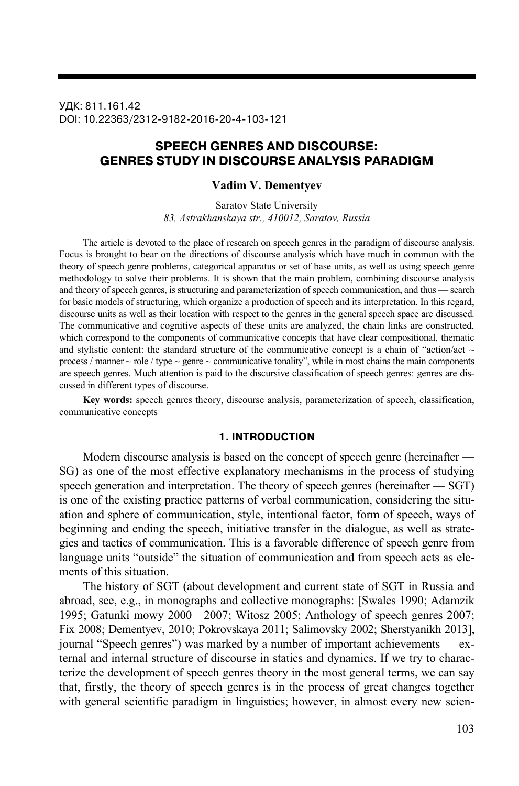УДК: 811.161.42 DOI: 10.22363/2312-9182-2016-20-4-103-121

# **SPEECH GENRES AND DISCOURSE: GENRES STUDY IN DISCOURSE ANALYSIS PARADIGM**

#### **Vadim V. Dementyev**

Saratov State University *83, Astrakhanskaya str., 410012, Saratov, Russia* 

The article is devoted to the place of research on speech genres in the paradigm of discourse analysis. Focus is brought to bear on the directions of discourse analysis which have much in common with the theory of speech genre problems, categorical apparatus or set of base units, as well as using speech genre methodology to solve their problems. It is shown that the main problem, combining discourse analysis and theory of speech genres, is structuring and parameterization of speech communication, and thus — search for basic models of structuring, which organize a production of speech and its interpretation. In this regard, discourse units as well as their location with respect to the genres in the general speech space are discussed. The communicative and cognitive aspects of these units are analyzed, the chain links are constructed, which correspond to the components of communicative concepts that have clear compositional, thematic and stylistic content: the standard structure of the communicative concept is a chain of "action/act  $\sim$ process / manner  $\sim$  role / type  $\sim$  genre  $\sim$  communicative tonality", while in most chains the main components are speech genres. Much attention is paid to the discursive classification of speech genres: genres are discussed in different types of discourse.

**Key words:** speech genres theory, discourse analysis, parameterization of speech, classification, communicative concepts

### **1. INTRODUCTION**

Modern discourse analysis is based on the concept of speech genre (hereinafter — SG) as one of the most effective explanatory mechanisms in the process of studying speech generation and interpretation. The theory of speech genres (hereinafter — SGT) is one of the existing practice patterns of verbal communication, considering the situation and sphere of communication, style, intentional factor, form of speech, ways of beginning and ending the speech, initiative transfer in the dialogue, as well as strategies and tactics of communication. This is a favorable difference of speech genre from language units "outside" the situation of communication and from speech acts as elements of this situation.

The history of SGT (about development and current state of SGT in Russia and abroad, see, e.g., in monographs and collective monographs: [Swales 1990; Adamzik 1995; Gatunki mowy 2000—2007; Witosz 2005; Anthology of speech genres 2007; Fix 2008; Dementyev, 2010; Pokrovskaya 2011; Salimovsky 2002; Sherstyanikh 2013], journal "Speech genres") was marked by a number of important achievements — external and internal structure of discourse in statics and dynamics. If we try to characterize the development of speech genres theory in the most general terms, we can say that, firstly, the theory of speech genres is in the process of great changes together with general scientific paradigm in linguistics; however, in almost every new scien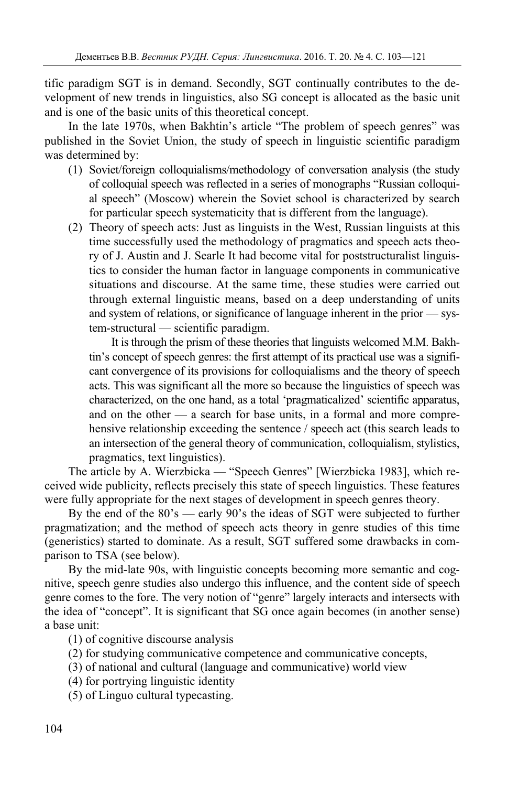tific paradigm SGT is in demand. Secondly, SGT continually contributes to the development of new trends in linguistics, also SG concept is allocated as the basic unit and is one of the basic units of this theoretical concept.

In the late 1970s, when Bakhtin's article "The problem of speech genres" was published in the Soviet Union, the study of speech in linguistic scientific paradigm was determined by:

- (1) Soviet/foreign colloquialisms/methodology of conversation analysis (the study of colloquial speech was reflected in a series of monographs "Russian colloquial speech" (Moscow) wherein the Soviet school is characterized by search for particular speech systematicity that is different from the language).
- (2) Theory of speech acts: Just as linguists in the West, Russian linguists at this time successfully used the methodology of pragmatics and speech acts theory of J. Austin and J. Searle It had become vital for poststructuralist linguistics to consider the human factor in language components in communicative situations and discourse. At the same time, these studies were carried out through external linguistic means, based on a deep understanding of units and system of relations, or significance of language inherent in the prior — system-structural — scientific paradigm.

It is through the prism of these theories that linguists welcomed M.M. Bakhtin's concept of speech genres: the first attempt of its practical use was a significant convergence of its provisions for colloquialisms and the theory of speech acts. This was significant all the more so because the linguistics of speech was characterized, on the one hand, as a total 'pragmaticalized' scientific apparatus, and on the other — a search for base units, in a formal and more comprehensive relationship exceeding the sentence / speech act (this search leads to an intersection of the general theory of communication, colloquialism, stylistics, pragmatics, text linguistics).

The article by A. Wierzbicka — "Speech Genres" [Wierzbicka 1983], which received wide publicity, reflects precisely this state of speech linguistics. These features were fully appropriate for the next stages of development in speech genres theory.

By the end of the 80's — early 90's the ideas of SGT were subjected to further pragmatization; and the method of speech acts theory in genre studies of this time (generistics) started to dominate. As a result, SGT suffered some drawbacks in comparison to TSA (see below).

By the mid-late 90s, with linguistic concepts becoming more semantic and cognitive, speech genre studies also undergo this influence, and the content side of speech genre comes to the fore. The very notion of "genre" largely interacts and intersects with the idea of "concept". It is significant that SG once again becomes (in another sense) a base unit:

(1) of cognitive discourse analysis

- (2) for studying communicative competence and communicative concepts,
- (3) of national and cultural (language and communicative) world view
- (4) for portrying linguistic identity

(5) of Linguo cultural typecasting.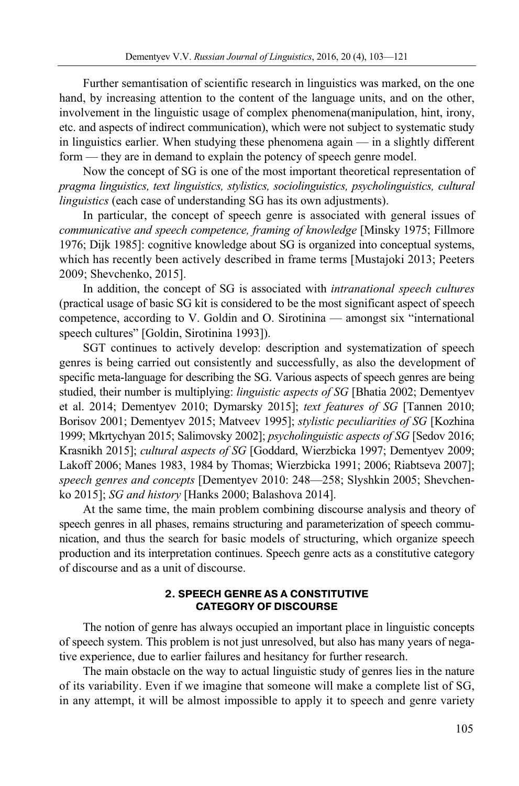Further semantisation of scientific research in linguistics was marked, on the one hand, by increasing attention to the content of the language units, and on the other, involvement in the linguistic usage of complex phenomena(manipulation, hint, irony, etc. and aspects of indirect communication), which were not subject to systematic study in linguistics earlier. When studying these phenomena again — in a slightly different form — they are in demand to explain the potency of speech genre model.

Now the concept of SG is one of the most important theoretical representation of *pragma linguistics, text linguistics, stylistics, sociolinguistics, psycholinguistics, cultural linguistics* (each case of understanding SG has its own adjustments).

In particular, the concept of speech genre is associated with general issues of *communicative and speech competence, framing of knowledge* [Minsky 1975; Fillmore 1976; Dijk 1985]: cognitive knowledge about SG is organized into conceptual systems, which has recently been actively described in frame terms [Mustajoki 2013; Peeters 2009; Shevchenko, 2015].

In addition, the concept of SG is associated with *intranational speech cultures* (practical usage of basic SG kit is considered to be the most significant aspect of speech competence, according to V. Goldin and O. Sirotinina — amongst six "international speech cultures" [Goldin, Sirotinina 1993]).

SGT continues to actively develop: description and systematization of speech genres is being carried out consistently and successfully, as also the development of specific meta-language for describing the SG. Various aspects of speech genres are being studied, their number is multiplying: *linguistic aspects of SG* [Bhatia 2002; Dementyev et al. 2014; Dementyev 2010; Dymarsky 2015]; *text features of SG* [Tannen 2010; Borisov 2001; Dementyev 2015; Matveev 1995]; *stylistic peculiarities of SG* [Kozhina 1999; Mkrtychyan 2015; Salimovsky 2002]; *psycholinguistic aspects of SG* [Sedov 2016; Krasnikh 2015]; *cultural aspects of SG* [Goddard, Wierzbicka 1997; Dementyev 2009; Lakoff 2006; Manes 1983, 1984 by Thomas; Wierzbicka 1991; 2006; Riabtseva 2007]; *speech genres and concepts* [Dementyev 2010: 248—258; Slyshkin 2005; Shevchenko 2015]; *SG and history* [Hanks 2000; Balashova 2014].

At the same time, the main problem combining discourse analysis and theory of speech genres in all phases, remains structuring and parameterization of speech communication, and thus the search for basic models of structuring, which organize speech production and its interpretation continues. Speech genre acts as a constitutive category of discourse and as a unit of discourse.

## **2. SPEECH GENRE AS A CONSTITUTIVE CATEGORY OF DISCOURSE**

The notion of genre has always occupied an important place in linguistic concepts of speech system. This problem is not just unresolved, but also has many years of negative experience, due to earlier failures and hesitancy for further research.

The main obstacle on the way to actual linguistic study of genres lies in the nature of its variability. Even if we imagine that someone will make a complete list of SG, in any attempt, it will be almost impossible to apply it to speech and genre variety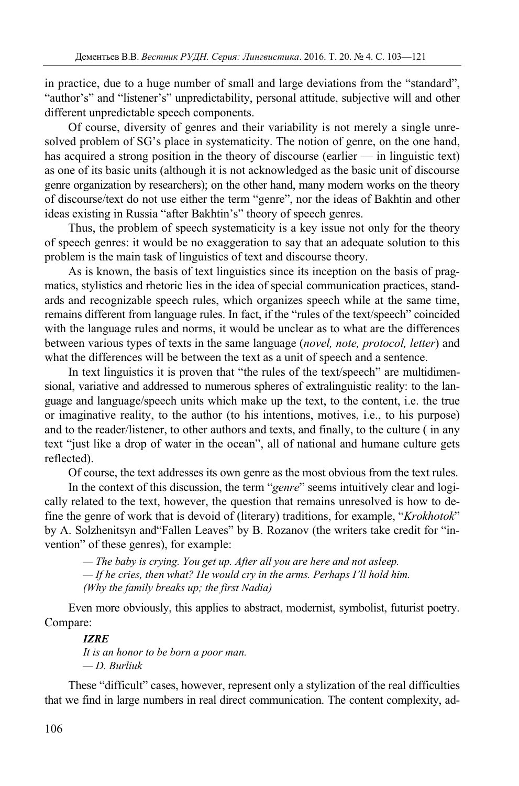in practice, due to a huge number of small and large deviations from the "standard", "author's" and "listener's" unpredictability, personal attitude, subjective will and other different unpredictable speech components.

Of course, diversity of genres and their variability is not merely a single unresolved problem of SG's place in systematicity. The notion of genre, on the one hand, has acquired a strong position in the theory of discourse (earlier — in linguistic text) as one of its basic units (although it is not acknowledged as the basic unit of discourse genre organization by researchers); on the other hand, many modern works on the theory of discourse/text do not use either the term "genre", nor the ideas of Bakhtin and other ideas existing in Russia "after Bakhtin's" theory of speech genres.

Thus, the problem of speech systematicity is a key issue not only for the theory of speech genres: it would be no exaggeration to say that an adequate solution to this problem is the main task of linguistics of text and discourse theory.

As is known, the basis of text linguistics since its inception on the basis of pragmatics, stylistics and rhetoric lies in the idea of special communication practices, standards and recognizable speech rules, which organizes speech while at the same time, remains different from language rules. In fact, if the "rules of the text/speech" coincided with the language rules and norms, it would be unclear as to what are the differences between various types of texts in the same language (*novel, note, protocol, letter*) and what the differences will be between the text as a unit of speech and a sentence.

In text linguistics it is proven that "the rules of the text/speech" are multidimensional, variative and addressed to numerous spheres of extralinguistic reality: to the language and language/speech units which make up the text, to the content, i.e. the true or imaginative reality, to the author (to his intentions, motives, i.e., to his purpose) and to the reader/listener, to other authors and texts, and finally, to the culture ( in any text "just like a drop of water in the ocean", all of national and humane culture gets reflected).

Of course, the text addresses its own genre as the most obvious from the text rules.

In the context of this discussion, the term "*genre*" seems intuitively clear and logically related to the text, however, the question that remains unresolved is how to define the genre of work that is devoid of (literary) traditions, for example, "*Krokhotok*" by A. Solzhenitsyn and"Fallen Leaves" by B. Rozanov (the writers take credit for "invention" of these genres), for example:

*— The baby is crying. You get up. After all you are here and not asleep. — If he cries, then what? He would cry in the arms. Perhaps I'll hold him. (Why the family breaks up; the first Nadia)*

Even more obviously, this applies to abstract, modernist, symbolist, futurist poetry. Compare:

### *IZRE*

*It is an honor to be born a poor man. — D. Burliuk* 

These "difficult" cases, however, represent only a stylization of the real difficulties that we find in large numbers in real direct communication. The content complexity, ad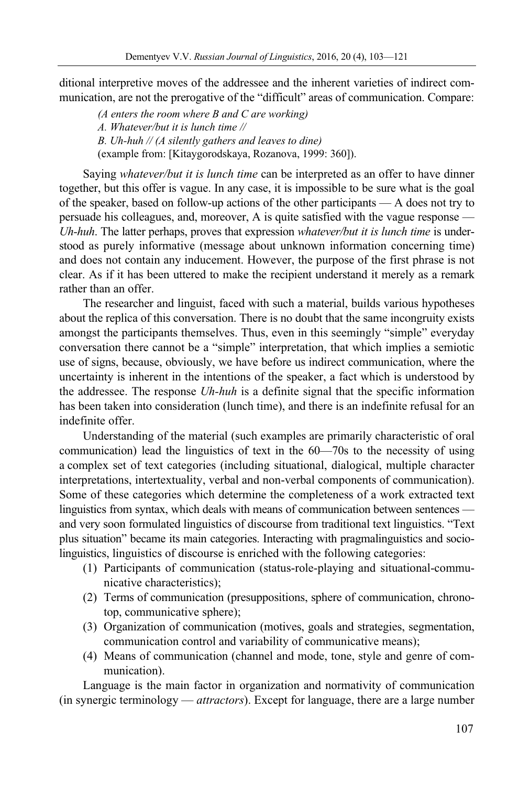ditional interpretive moves of the addressee and the inherent varieties of indirect communication, are not the prerogative of the "difficult" areas of communication. Compare:

*(A enters the room where B and C are working) A. Whatever/but it is lunch time // B. Uh-huh // (A silently gathers and leaves to dine)*  (example from: [Kitaygorodskaya, Rozanova, 1999: 360]).

Saying *whatever/but it is lunch time* can be interpreted as an offer to have dinner together, but this offer is vague. In any case, it is impossible to be sure what is the goal of the speaker, based on follow-up actions of the other participants — A does not try to persuade his colleagues, and, moreover, A is quite satisfied with the vague response — *Uh-huh*. The latter perhaps, proves that expression *whatever/but it is lunch time* is understood as purely informative (message about unknown information concerning time) and does not contain any inducement. However, the purpose of the first phrase is not clear. As if it has been uttered to make the recipient understand it merely as a remark rather than an offer.

The researcher and linguist, faced with such a material, builds various hypotheses about the replica of this conversation. There is no doubt that the same incongruity exists amongst the participants themselves. Thus, even in this seemingly "simple" everyday conversation there cannot be a "simple" interpretation, that which implies a semiotic use of signs, because, obviously, we have before us indirect communication, where the uncertainty is inherent in the intentions of the speaker, a fact which is understood by the addressee. The response *Uh-huh* is a definite signal that the specific information has been taken into consideration (lunch time), and there is an indefinite refusal for an indefinite offer.

Understanding of the material (such examples are primarily characteristic of oral communication) lead the linguistics of text in the 60—70s to the necessity of using a complex set of text categories (including situational, dialogical, multiple character interpretations, intertextuality, verbal and non-verbal components of communication). Some of these categories which determine the completeness of a work extracted text linguistics from syntax, which deals with means of communication between sentences and very soon formulated linguistics of discourse from traditional text linguistics. "Text plus situation" became its main categories. Interacting with pragmalinguistics and sociolinguistics, linguistics of discourse is enriched with the following categories:

- (1) Participants of communication (status-role-playing and situational-communicative characteristics);
- (2) Terms of communication (presuppositions, sphere of communication, chronotop, communicative sphere);
- (3) Organization of communication (motives, goals and strategies, segmentation, communication control and variability of communicative means);
- (4) Means of communication (channel and mode, tone, style and genre of communication).

Language is the main factor in organization and normativity of communication (in synergic terminology — *attractors*). Except for language, there are a large number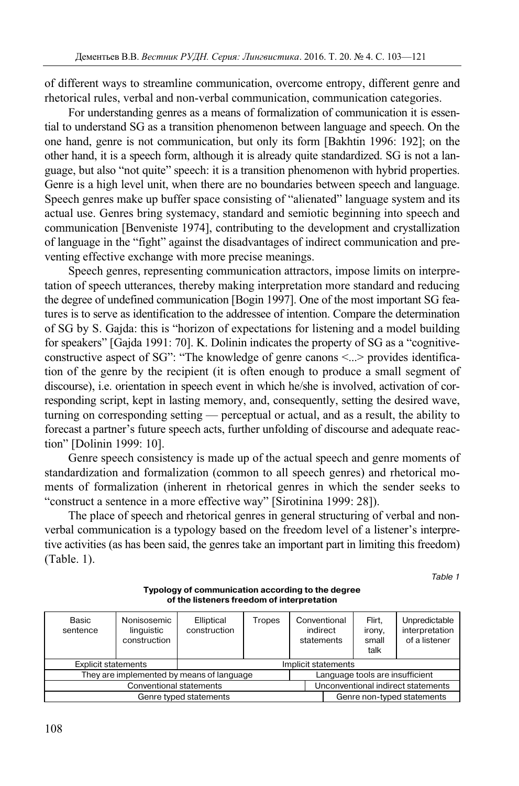of different ways to streamline communication, overcome entropy, different genre and rhetorical rules, verbal and non-verbal communication, communication categories.

For understanding genres as a means of formalization of communication it is essential to understand SG as a transition phenomenon between language and speech. On the one hand, genre is not communication, but only its form [Bakhtin 1996: 192]; on the other hand, it is a speech form, although it is already quite standardized. SG is not a language, but also "not quite" speech: it is a transition phenomenon with hybrid properties. Genre is a high level unit, when there are no boundaries between speech and language. Speech genres make up buffer space consisting of "alienated" language system and its actual use. Genres bring systemacy, standard and semiotic beginning into speech and communication [Benveniste 1974], contributing to the development and crystallization of language in the "fight" against the disadvantages of indirect communication and preventing effective exchange with more precise meanings.

Speech genres, representing communication attractors, impose limits on interpretation of speech utterances, thereby making interpretation more standard and reducing the degree of undefined communication [Bogin 1997]. One of the most important SG features is to serve as identification to the addressee of intention. Compare the determination of SG by S. Gajda: this is "horizon of expectations for listening and a model building for speakers" [Gajda 1991: 70]. K. Dolinin indicates the property of SG as a "cognitiveconstructive aspect of SG": "The knowledge of genre canons <...> provides identification of the genre by the recipient (it is often enough to produce a small segment of discourse), i.e. orientation in speech event in which he/she is involved, activation of corresponding script, kept in lasting memory, and, consequently, setting the desired wave, turning on corresponding setting — perceptual or actual, and as a result, the ability to forecast a partner's future speech acts, further unfolding of discourse and adequate reaction" [Dolinin 1999: 10].

Genre speech consistency is made up of the actual speech and genre moments of standardization and formalization (common to all speech genres) and rhetorical moments of formalization (inherent in rhetorical genres in which the sender seeks to "construct a sentence in a more effective way" [Sirotinina 1999: 28]).

The place of speech and rhetorical genres in general structuring of verbal and nonverbal communication is a typology based on the freedom level of a listener's interpretive activities (as has been said, the genres take an important part in limiting this freedom) (Table. 1).

Table 1

| Basic<br>sentence                         | Nonisosemic<br>linguistic<br>construction | Elliptical<br>construction | Tropes | Conventional<br>indirect<br>statements | Flirt.<br>irony,<br>small<br>talk | Unpredictable<br>interpretation<br>of a listener |  |
|-------------------------------------------|-------------------------------------------|----------------------------|--------|----------------------------------------|-----------------------------------|--------------------------------------------------|--|
| <b>Explicit statements</b>                |                                           | Implicit statements        |        |                                        |                                   |                                                  |  |
| They are implemented by means of language |                                           |                            |        | Language tools are insufficient        |                                   |                                                  |  |
| Conventional statements                   |                                           |                            |        | Unconventional indirect statements     |                                   |                                                  |  |
| Genre typed statements                    |                                           |                            |        |                                        | Genre non-typed statements        |                                                  |  |

**Typology of communication according to the degree of the listeners freedom of interpretation**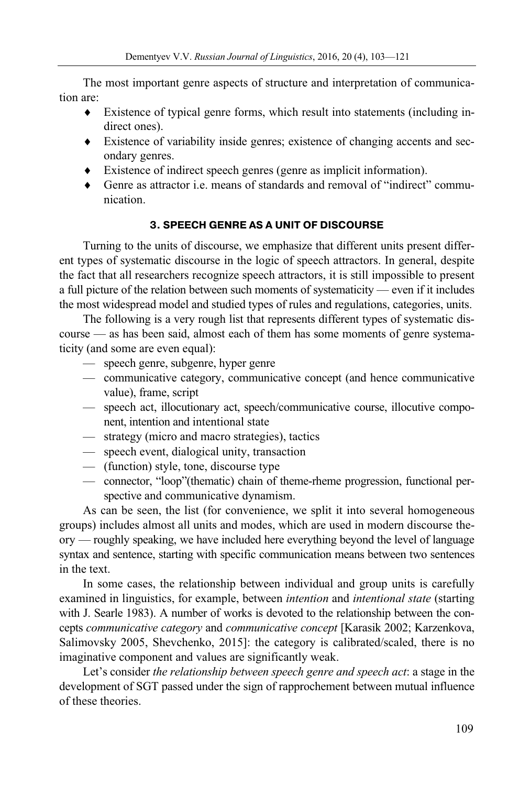The most important genre aspects of structure and interpretation of communication are:

- Existence of typical genre forms, which result into statements (including indirect ones).
- Existence of variability inside genres; existence of changing accents and secondary genres.
- Existence of indirect speech genres (genre as implicit information).
- Genre as attractor i.e. means of standards and removal of "indirect" communication.

# **3. SPEECH GENRE AS A UNIT OF DISCOURSE**

Turning to the units of discourse, we emphasize that different units present different types of systematic discourse in the logic of speech attractors. In general, despite the fact that all researchers recognize speech attractors, it is still impossible to present a full picture of the relation between such moments of systematicity — even if it includes the most widespread model and studied types of rules and regulations, categories, units.

The following is a very rough list that represents different types of systematic discourse — as has been said, almost each of them has some moments of genre systematicity (and some are even equal):

- speech genre, subgenre, hyper genre
- communicative category, communicative concept (and hence communicative value), frame, script
- speech act, illocutionary act, speech/communicative course, illocutive component, intention and intentional state
- strategy (micro and macro strategies), tactics
- speech event, dialogical unity, transaction
- (function) style, tone, discourse type
- connector, "loop"(thematic) chain of theme-rheme progression, functional perspective and communicative dynamism.

As can be seen, the list (for convenience, we split it into several homogeneous groups) includes almost all units and modes, which are used in modern discourse theory — roughly speaking, we have included here everything beyond the level of language syntax and sentence, starting with specific communication means between two sentences in the text.

In some cases, the relationship between individual and group units is carefully examined in linguistics, for example, between *intention* and *intentional state* (starting with J. Searle 1983). A number of works is devoted to the relationship between the concepts *communicative category* and *communicative concept* [Karasik 2002; Karzenkova, Salimovsky 2005, Shevchenko, 2015]: the category is calibrated/scaled, there is no imaginative component and values are significantly weak.

Let's consider *the relationship between speech genre and speech act*: a stage in the development of SGT passed under the sign of rapprochement between mutual influence of these theories.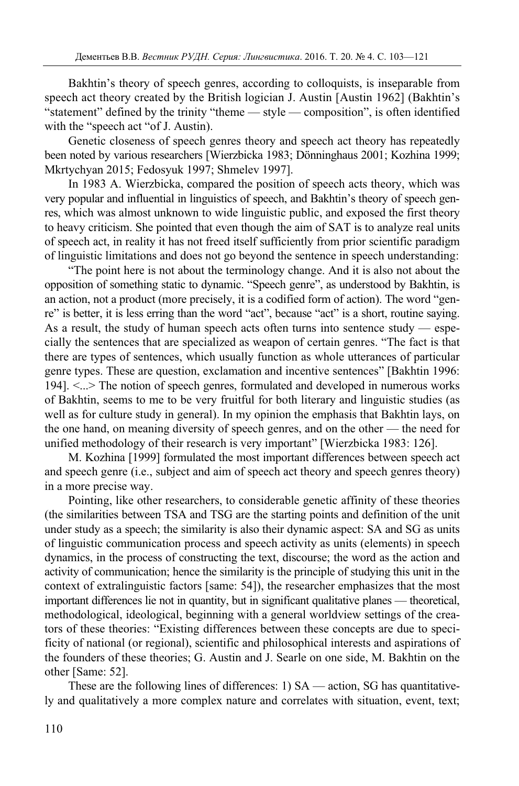Bakhtin's theory of speech genres, according to colloquists, is inseparable from speech act theory created by the British logician J. Austin [Austin 1962] (Bakhtin's "statement" defined by the trinity "theme — style — composition", is often identified with the "speech act "of J. Austin).

Genetic closeness of speech genres theory and speech act theory has repeatedly been noted by various researchers [Wierzbicka 1983; Dönninghaus 2001; Kozhina 1999; Mkrtychyan 2015; Fedosyuk 1997; Shmelev 1997].

In 1983 A. Wierzbicka, compared the position of speech acts theory, which was very popular and influential in linguistics of speech, and Bakhtin's theory of speech genres, which was almost unknown to wide linguistic public, and exposed the first theory to heavy criticism. She pointed that even though the aim of SAT is to analyze real units of speech act, in reality it has not freed itself sufficiently from prior scientific paradigm of linguistic limitations and does not go beyond the sentence in speech understanding:

"The point here is not about the terminology change. And it is also not about the opposition of something static to dynamic. "Speech genre", as understood by Bakhtin, is an action, not a product (more precisely, it is a codified form of action). The word "genre" is better, it is less erring than the word "act", because "act" is a short, routine saying. As a result, the study of human speech acts often turns into sentence study — especially the sentences that are specialized as weapon of certain genres. "The fact is that there are types of sentences, which usually function as whole utterances of particular genre types. These are question, exclamation and incentive sentences" [Bakhtin 1996: 194]. <...> The notion of speech genres, formulated and developed in numerous works of Bakhtin, seems to me to be very fruitful for both literary and linguistic studies (as well as for culture study in general). In my opinion the emphasis that Bakhtin lays, on the one hand, on meaning diversity of speech genres, and on the other — the need for unified methodology of their research is very important" [Wierzbicka 1983: 126].

M. Kozhina [1999] formulated the most important differences between speech act and speech genre (i.e., subject and aim of speech act theory and speech genres theory) in a more precise way.

Pointing, like other researchers, to considerable genetic affinity of these theories (the similarities between TSA and TSG are the starting points and definition of the unit under study as a speech; the similarity is also their dynamic aspect: SA and SG as units of linguistic communication process and speech activity as units (elements) in speech dynamics, in the process of constructing the text, discourse; the word as the action and activity of communication; hence the similarity is the principle of studying this unit in the context of extralinguistic factors [same: 54]), the researcher emphasizes that the most important differences lie not in quantity, but in significant qualitative planes — theoretical, methodological, ideological, beginning with a general worldview settings of the creators of these theories: "Existing differences between these concepts are due to specificity of national (or regional), scientific and philosophical interests and aspirations of the founders of these theories; G. Austin and J. Searle on one side, M. Bakhtin on the other [Same: 52].

These are the following lines of differences: 1) SA — action, SG has quantitatively and qualitatively a more complex nature and correlates with situation, event, text;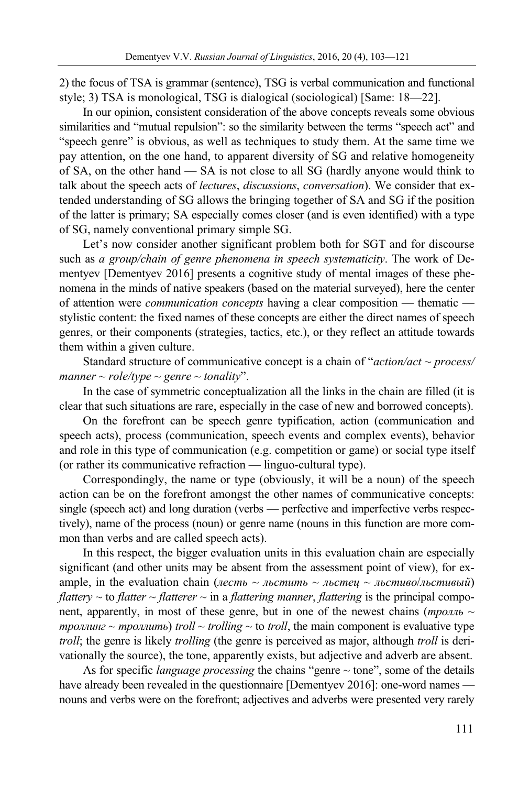2) the focus of TSA is grammar (sentence), TSG is verbal communication and functional style; 3) TSA is monological, TSG is dialogical (sociological) [Same: 18—22].

In our opinion, consistent consideration of the above concepts reveals some obvious similarities and "mutual repulsion": so the similarity between the terms "speech act" and "speech genre" is obvious, as well as techniques to study them. At the same time we pay attention, on the one hand, to apparent diversity of SG and relative homogeneity of SA, on the other hand — SA is not close to all SG (hardly anyone would think to talk about the speech acts of *lectures*, *discussions*, *conversation*). We consider that extended understanding of SG allows the bringing together of SA and SG if the position of the latter is primary; SA especially comes closer (and is even identified) with a type of SG, namely conventional primary simple SG.

Let's now consider another significant problem both for SGT and for discourse such as *a group/chain of genre phenomena in speech systematicity*. The work of Dementyev [Dementyev 2016] presents a cognitive study of mental images of these phenomena in the minds of native speakers (based on the material surveyed), here the center of attention were *communication concepts* having a clear composition — thematic stylistic content: the fixed names of these concepts are either the direct names of speech genres, or their components (strategies, tactics, etc.), or they reflect an attitude towards them within a given culture.

Standard structure of communicative concept is a chain of "*action/act* ~ *process/ manner* ~ *role/type* ~ *genre* ~ *tonality*".

In the case of symmetric conceptualization all the links in the chain are filled (it is clear that such situations are rare, especially in the case of new and borrowed concepts).

On the forefront can be speech genre typification, action (communication and speech acts), process (communication, speech events and complex events), behavior and role in this type of communication (e.g. competition or game) or social type itself (or rather its communicative refraction — linguo-cultural type).

Correspondingly, the name or type (obviously, it will be a noun) of the speech action can be on the forefront amongst the other names of communicative concepts: single (speech act) and long duration (verbs — perfective and imperfective verbs respectively), name of the process (noun) or genre name (nouns in this function are more common than verbs and are called speech acts).

In this respect, the bigger evaluation units in this evaluation chain are especially significant (and other units may be absent from the assessment point of view), for example, in the evaluation chain (*лесть* ~ *льстить* ~ *льстец* ~ *льстиво*/*льстивый*) *flattery*  $\sim$  to *flatter*  $\sim$  *flatterer*  $\sim$  in a *flattering manner*, *flattering* is the principal component, apparently, in most of these genre, but in one of the newest chains (*тролль* ~ *троллинг* ~ *троллить*) *troll* ~ *trolling* ~ *to troll*, the main component is evaluative type *troll*; the genre is likely *trolling* (the genre is perceived as major, although *troll* is derivationally the source), the tone, apparently exists, but adjective and adverb are absent.

As for specific *language processing* the chains "genre ~ tone", some of the details have already been revealed in the questionnaire [Dementyev 2016]: one-word names nouns and verbs were on the forefront; adjectives and adverbs were presented very rarely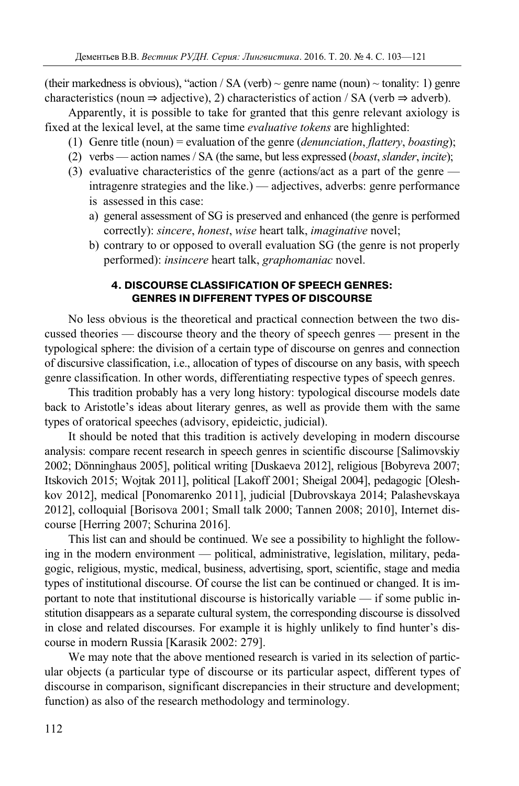(their markedness is obvious), "action / SA (verb)  $\sim$  genre name (noun)  $\sim$  tonality: 1) genre characteristics (noun  $\Rightarrow$  adjective), 2) characteristics of action / SA (verb  $\Rightarrow$  adverb).

Apparently, it is possible to take for granted that this genre relevant axiology is fixed at the lexical level, at the same time *evaluative tokens* are highlighted:

- (1) Genre title (noun) = evaluation of the genre (*denunciation*, *flattery*, *boasting*);
- (2) verbs action names / SA (the same, but less expressed (*boast*, *slander*, *incite*);
- (3) evaluative characteristics of the genre (actions/act as a part of the genre intragenre strategies and the like.) — adjectives, adverbs: genre performance
	- is assessed in this case:
	- a) general assessment of SG is preserved and enhanced (the genre is performed correctly): *sincere*, *honest*, *wise* heart talk, *imaginative* novel;
	- b) contrary to or opposed to overall evaluation SG (the genre is not properly performed): *insincere* heart talk, *graphomaniac* novel.

## **4. DISCOURSE CLASSIFICATION OF SPEECH GENRES: GENRES IN DIFFERENT TYPES OF DISCOURSE**

No less obvious is the theoretical and practical connection between the two discussed theories — discourse theory and the theory of speech genres — present in the typological sphere: the division of a certain type of discourse on genres and connection of discursive classification, i.e., allocation of types of discourse on any basis, with speech genre classification. In other words, differentiating respective types of speech genres.

This tradition probably has a very long history: typological discourse models date back to Aristotle's ideas about literary genres, as well as provide them with the same types of oratorical speeches (advisory, epideictic, judicial).

It should be noted that this tradition is actively developing in modern discourse analysis: compare recent research in speech genres in scientific discourse [Salimovskiy 2002; Dönninghaus 2005], political writing [Duskaeva 2012], religious [Bobyreva 2007; Itskovich 2015; Wojtak 2011], political [Lakoff 2001; Sheigal 2004], pedagogic [Oleshkov 2012], medical [Ponomarenko 2011], judicial [Dubrovskaya 2014; Palashevskaya 2012], colloquial [Borisova 2001; Small talk 2000; Tannen 2008; 2010], Internet discourse [Herring 2007; Schurina 2016].

This list can and should be continued. We see a possibility to highlight the following in the modern environment — political, administrative, legislation, military, pedagogic, religious, mystic, medical, business, advertising, sport, scientific, stage and media types of institutional discourse. Of course the list can be continued or changed. It is important to note that institutional discourse is historically variable — if some public institution disappears as a separate cultural system, the corresponding discourse is dissolved in close and related discourses. For example it is highly unlikely to find hunter's discourse in modern Russia [Karasik 2002: 279].

We may note that the above mentioned research is varied in its selection of particular objects (a particular type of discourse or its particular aspect, different types of discourse in comparison, significant discrepancies in their structure and development; function) as also of the research methodology and terminology.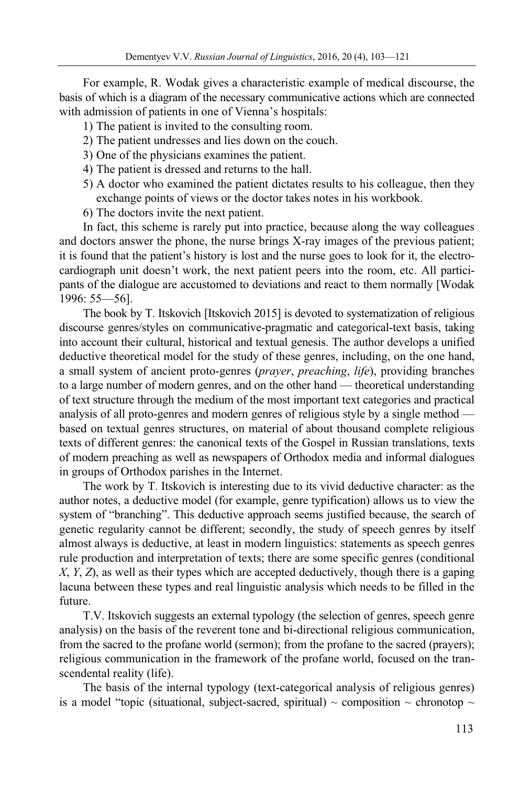For example, R. Wodak gives a characteristic example of medical discourse, the basis of which is a diagram of the necessary communicative actions which are connected with admission of patients in one of Vienna's hospitals:

- 1) The patient is invited to the consulting room.
- 2) The patient undresses and lies down on the couch.
- 3) One of the physicians examines the patient.
- 4) The patient is dressed and returns to the hall.
- 5) A doctor who examined the patient dictates results to his colleague, then they exchange points of views or the doctor takes notes in his workbook.
- 6) The doctors invite the next patient.

In fact, this scheme is rarely put into practice, because along the way colleagues and doctors answer the phone, the nurse brings X-ray images of the previous patient; it is found that the patient's history is lost and the nurse goes to look for it, the electrocardiograph unit doesn't work, the next patient peers into the room, etc. All participants of the dialogue are accustomed to deviations and react to them normally [Wodak 1996: 55—56].

The book by T. Itskovich [Itskovich 2015] is devoted to systematization of religious discourse genres/styles on communicative-pragmatic and categorical-text basis, taking into account their cultural, historical and textual genesis. The author develops a unified deductive theoretical model for the study of these genres, including, on the one hand, a small system of ancient proto-genres (*prayer*, *preaching*, *life*), providing branches to a large number of modern genres, and on the other hand — theoretical understanding of text structure through the medium of the most important text categories and practical analysis of all proto-genres and modern genres of religious style by a single method based on textual genres structures, on material of about thousand complete religious texts of different genres: the canonical texts of the Gospel in Russian translations, texts of modern preaching as well as newspapers of Orthodox media and informal dialogues in groups of Orthodox parishes in the Internet.

The work by T. Itskovich is interesting due to its vivid deductive character: as the author notes, a deductive model (for example, genre typification) allows us to view the system of "branching". This deductive approach seems justified because, the search of genetic regularity cannot be different; secondly, the study of speech genres by itself almost always is deductive, at least in modern linguistics: statements as speech genres rule production and interpretation of texts; there are some specific genres (conditional *X*, *Y*, *Z*), as well as their types which are accepted deductively, though there is a gaping lacuna between these types and real linguistic analysis which needs to be filled in the future.

T.V. Itskovich suggests an external typology (the selection of genres, speech genre analysis) on the basis of the reverent tone and bi-directional religious communication, from the sacred to the profane world (sermon); from the profane to the sacred (prayers); religious communication in the framework of the profane world, focused on the transcendental reality (life).

The basis of the internal typology (text-categorical analysis of religious genres) is a model "topic (situational, subject-sacred, spiritual)  $\sim$  composition  $\sim$  chronotop  $\sim$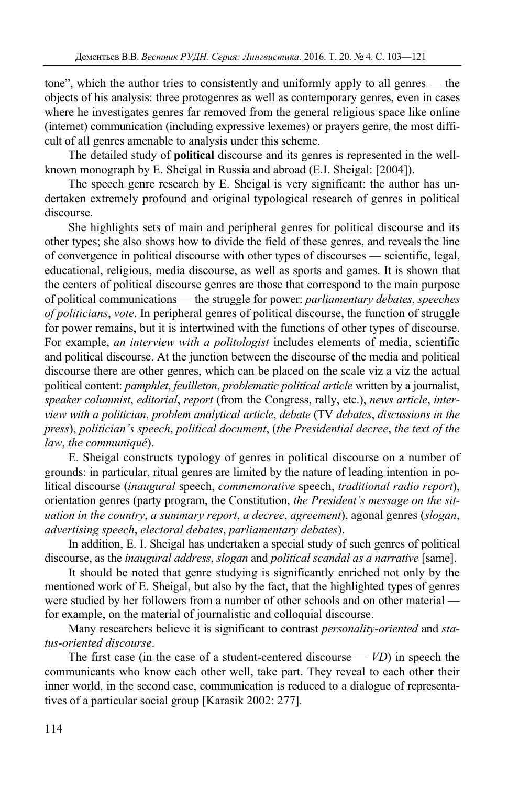tone", which the author tries to consistently and uniformly apply to all genres — the objects of his analysis: three protogenres as well as contemporary genres, even in cases where he investigates genres far removed from the general religious space like online (internet) communication (including expressive lexemes) or prayers genre, the most difficult of all genres amenable to analysis under this scheme.

The detailed study of **political** discourse and its genres is represented in the wellknown monograph by E. Sheigal in Russia and abroad (E.I. Sheigal: [2004]).

The speech genre research by E. Sheigal is very significant: the author has undertaken extremely profound and original typological research of genres in political discourse.

She highlights sets of main and peripheral genres for political discourse and its other types; she also shows how to divide the field of these genres, and reveals the line of convergence in political discourse with other types of discourses — scientific, legal, educational, religious, media discourse, as well as sports and games. It is shown that the centers of political discourse genres are those that correspond to the main purpose of political communications — the struggle for power: *parliamentary debates*, *speeches of politicians*, *vote*. In peripheral genres of political discourse, the function of struggle for power remains, but it is intertwined with the functions of other types of discourse. For example, *an interview with a politologist* includes elements of media, scientific and political discourse. At the junction between the discourse of the media and political discourse there are other genres, which can be placed on the scale viz a viz the actual political content: *pamphlet*, *feuilleton*, *problematic political article* written by a journalist, *speaker columnist*, *editorial*, *report* (from the Congress, rally, etc.), *news article*, *interview with a politician*, *problem analytical article*, *debate* (TV *debates*, *discussions in the press*), *politician's speech*, *political document*, (*the Presidential decree*, *the text of the law*, *the communiqué*).

E. Sheigal constructs typology of genres in political discourse on a number of grounds: in particular, ritual genres are limited by the nature of leading intention in political discourse (*inaugural* speech, *commemorative* speech, *traditional radio report*), orientation genres (party program, the Constitution, *the President's message on the situation in the country*, *a summary report*, *a decree*, *agreement*), agonal genres (*slogan*, *advertising speech*, *electoral debates*, *parliamentary debates*).

In addition, E. I. Sheigal has undertaken a special study of such genres of political discourse, as the *inaugural address*, *slogan* and *political scandal as a narrative* [same].

It should be noted that genre studying is significantly enriched not only by the mentioned work of E. Sheigal, but also by the fact, that the highlighted types of genres were studied by her followers from a number of other schools and on other material for example, on the material of journalistic and colloquial discourse.

Many researchers believe it is significant to contrast *personality-oriented* and *status-oriented discourse*.

The first case (in the case of a student-centered discourse — *VD*) in speech the communicants who know each other well, take part. They reveal to each other their inner world, in the second case, communication is reduced to a dialogue of representatives of a particular social group [Karasik 2002: 277].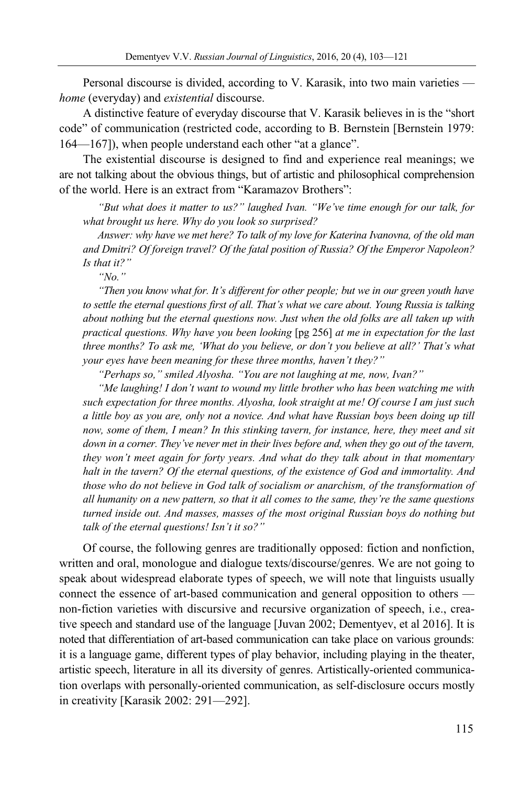Personal discourse is divided, according to V. Karasik, into two main varieties *home* (everyday) and *existential* discourse.

A distinctive feature of everyday discourse that V. Karasik believes in is the "short code" of communication (restricted code, according to B. Bernstein [Bernstein 1979: 164—167]), when people understand each other "at a glance".

The existential discourse is designed to find and experience real meanings; we are not talking about the obvious things, but of artistic and philosophical comprehension of the world. Here is an extract from "Karamazov Brothers":

*"But what does it matter to us?" laughed Ivan. "We've time enough for our talk, for what brought us here. Why do you look so surprised?* 

*Answer: why have we met here? To talk of my love for Katerina Ivanovna, of the old man and Dmitri? Of foreign travel? Of the fatal position of Russia? Of the Emperor Napoleon? Is that it?"* 

*"No."* 

*"Then you know what for. It's different for other people; but we in our green youth have to settle the eternal questions first of all. That's what we care about. Young Russia is talking about nothing but the eternal questions now. Just when the old folks are all taken up with practical questions. Why have you been looking* [pg 256] *at me in expectation for the last three months? To ask me, 'What do you believe, or don't you believe at all?' That's what your eyes have been meaning for these three months, haven't they?"* 

*"Perhaps so," smiled Alyosha. "You are not laughing at me, now, Ivan?"* 

*"Me laughing! I don't want to wound my little brother who has been watching me with such expectation for three months. Alyosha, look straight at me! Of course I am just such a little boy as you are, only not a novice. And what have Russian boys been doing up till now, some of them, I mean? In this stinking tavern, for instance, here, they meet and sit down in a corner. They've never met in their lives before and, when they go out of the tavern, they won't meet again for forty years. And what do they talk about in that momentary halt in the tavern? Of the eternal questions, of the existence of God and immortality. And those who do not believe in God talk of socialism or anarchism, of the transformation of all humanity on a new pattern, so that it all comes to the same, they're the same questions turned inside out. And masses, masses of the most original Russian boys do nothing but talk of the eternal questions! Isn't it so?"*

Of course, the following genres are traditionally opposed: fiction and nonfiction, written and oral, monologue and dialogue texts/discourse/genres. We are not going to speak about widespread elaborate types of speech, we will note that linguists usually connect the essence of art-based communication and general opposition to others non-fiction varieties with discursive and recursive organization of speech, i.e., creative speech and standard use of the language [Juvan 2002; Dementyev, et al 2016]. It is noted that differentiation of art-based communication can take place on various grounds: it is a language game, different types of play behavior, including playing in the theater, artistic speech, literature in all its diversity of genres. Artistically-oriented communication overlaps with personally-oriented communication, as self-disclosure occurs mostly in creativity [Karasik 2002: 291—292].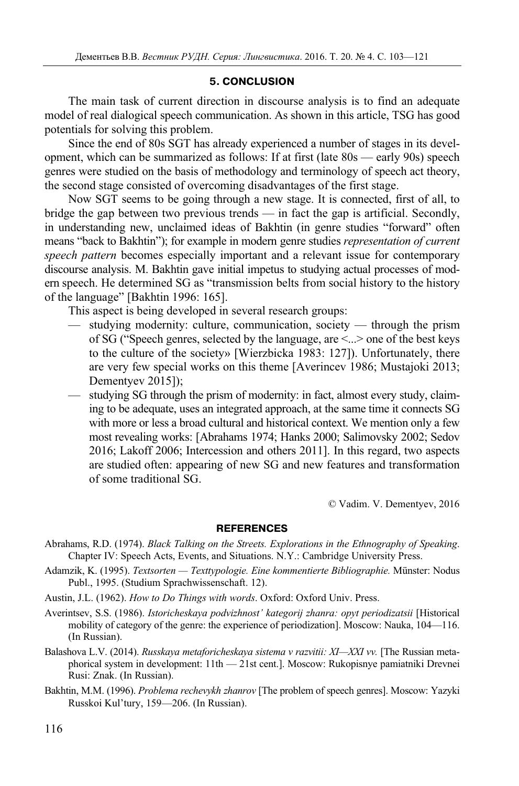### **5. CONCLUSION**

The main task of current direction in discourse analysis is to find an adequate model of real dialogical speech communication. As shown in this article, TSG has good potentials for solving this problem.

Since the end of 80s SGT has already experienced a number of stages in its development, which can be summarized as follows: If at first (late 80s — early 90s) speech genres were studied on the basis of methodology and terminology of speech act theory, the second stage consisted of overcoming disadvantages of the first stage.

Now SGT seems to be going through a new stage. It is connected, first of all, to bridge the gap between two previous trends — in fact the gap is artificial. Secondly, in understanding new, unclaimed ideas of Bakhtin (in genre studies "forward" often means "back to Bakhtin"); for example in modern genre studies *representation of current speech pattern* becomes especially important and a relevant issue for contemporary discourse analysis. M. Bakhtin gave initial impetus to studying actual processes of modern speech. He determined SG as "transmission belts from social history to the history of the language" [Bakhtin 1996: 165].

This aspect is being developed in several research groups:

- studying modernity: culture, communication, society through the prism of SG ("Speech genres, selected by the language, are <...> one of the best keys to the culture of the society» [Wierzbicka 1983: 127]). Unfortunately, there are very few special works on this theme [Averincev 1986; Mustajoki 2013; Dementyev 2015]);
- studying SG through the prism of modernity: in fact, almost every study, claiming to be adequate, uses an integrated approach, at the same time it connects SG with more or less a broad cultural and historical context. We mention only a few most revealing works: [Abrahams 1974; Hanks 2000; Salimovsky 2002; Sedov 2016; Lakoff 2006; Intercession and others 2011]. In this regard, two aspects are studied often: appearing of new SG and new features and transformation of some traditional SG.

© Vadim. V. Dementyev, 2016

#### **REFERENCES**

- Abrahams, R.D. (1974). *Black Talking on the Streets. Explorations in the Ethnography of Speaking*. Chapter IV: Speech Acts, Events, and Situations. N.Y.: Cambridge University Press.
- Adamzik, K. (1995). *Textsorten Texttypologie. Eine kommentierte Bibliographie.* Münster: Nodus Publ., 1995. (Studium Sprachwissenschaft. 12).
- Austin, J.L. (1962). *How to Do Things with words*. Oxford: Oxford Univ. Press.
- Averintsev, S.S. (1986). *Istoricheskaya podvizhnost' kategorij zhanra: opyt periodizatsii* [Historical mobility of category of the genre: the experience of periodization]. Moscow: Nauka, 104—116. (In Russian).
- Balashova L.V. (2014). *Russkaya metaforicheskaya sistema v razvitii: XI—XXI vv.* [The Russian metaphorical system in development: 11th — 21st cent.]. Moscow: Rukopisnye pamiatniki Drevnei Rusi: Znak. (In Russian).
- Bakhtin, M.M. (1996). *Problema rechevykh zhanrov* [The problem of speech genres]. Moscow: Yazyki Russkoi Kul'tury, 159—206. (In Russian).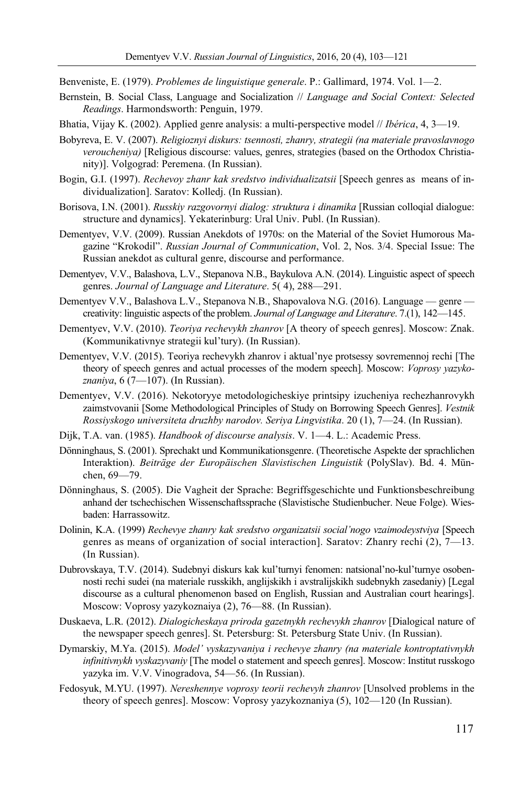Benveniste, E. (1979). *Problemes de linguistique generale*. P.: Gallimard, 1974. Vol. 1—2.

- Bernstein, B. Social Class, Language and Socialization // *Language and Social Context: Selected Readings*. Harmondsworth: Penguin, 1979.
- Bhatia, Vijay K. (2002). Applied genre analysis: a multi-perspective model // *Ibérica*, 4, 3—19.
- Bobyreva, E. V. (2007). *Religioznyi diskurs: tsennosti, zhanry, strategii (na materiale pravoslavnogo veroucheniya)* [Religious discourse: values, genres, strategies (based on the Orthodox Christianity)]. Volgograd: Peremena. (In Russian).
- Bogin, G.I. (1997). *Rechevoy zhanr kak sredstvo individualizatsii* [Speech genres as means of individualization]. Saratov: Kolledj. (In Russian).
- Borisova, I.N. (2001). *Russkiy razgovornyi dialog: struktura i dinamika* [Russian colloqial dialogue: structure and dynamics]. Yekaterinburg: Ural Univ. Publ. (In Russian).
- Dementyev, V.V. (2009). Russian Anekdots of 1970s: on the Material of the Soviet Humorous Magazine "Krokodil". *Russian Journal of Communication*, Vol. 2, Nos. 3/4. Special Issue: The Russian anekdot as cultural genre, discourse and performance.
- Dementyev, V.V., Balashova, L.V., Stepanova N.B., Baykulova A.N. (2014). Linguistic aspect of speech genres. *Journal of Language and Literature*. 5( 4), 288—291.
- Dementyev V.V., Balashova L.V., Stepanova N.B., Shapovalova N.G. (2016). Language genre creativity: linguistic aspects of the problem. *Journal of Language and Literature*. 7.(1), 142—145.
- Dementyev, V.V. (2010). *Teoriya rechevykh zhanrov* [A theory of speech genres]. Moscow: Znak. (Kommunikativnye strategii kul'tury). (In Russian).
- Dementyev, V.V. (2015). Teoriya rechevykh zhanrov i aktual'nye protsessy sovremennoj rechi [The theory of speech genres and actual processes of the modern speech]. Moscow: *Voprosy yazykoznaniya*, 6 (7—107). (In Russian).
- Dementyev, V.V. (2016). Nekotoryye metodologicheskiye printsipy izucheniya rechezhanrovykh zaimstvovanii [Some Methodological Principles of Study on Borrowing Speech Genres]. *Vestnik Rossiyskogo universiteta druzhby narodov. Seriya Lingvistika*. 20 (1), 7—24. (In Russian).
- Dijk, T.A. van. (1985). *Handbook of discourse analysis*. V. 1—4. L.: Academic Press.
- Dönninghaus, S. (2001). Sprechakt und Kommunikationsgenre. (Theoretische Aspekte der sprachlichen Interaktion). *Beiträge der Europäischen Slavistischen Linguistik* (PolySlav). Bd. 4. München, 69—79.
- Dönninghaus, S. (2005). Die Vagheit der Sprache: Begriffsgeschichte und Funktionsbeschreibung anhand der tschechischen Wissenschaftssprache (Slavistische Studienbucher. Neue Folge). Wiesbaden: Harrassowitz.
- Dolinin, K.A. (1999) *Rechevye zhanry kak sredstvo organizatsii social'nogo vzaimodeystviya* [Speech genres as means of organization of social interaction]. Saratov: Zhanry rechi (2), 7—13. (In Russian).
- Dubrovskaya, T.V. (2014). Sudebnyi diskurs kak kul'turnyi fenomen: natsional'no-kul'turnye osobennosti rechi sudei (na materiale russkikh, anglijskikh i avstralijskikh sudebnykh zasedaniy) [Legal discourse as a cultural phenomenon based on English, Russian and Australian court hearings]. Moscow: Voprosy yazykoznaiya (2), 76—88. (In Russian).
- Duskaeva, L.R. (2012). *Dialogicheskaya priroda gazetnykh rechevykh zhanrov* [Dialogical nature of the newspaper speech genres]. St. Petersburg: St. Petersburg State Univ. (In Russian).
- Dymarskiy, M.Ya. (2015). *Model' vyskazyvaniya i rechevye zhanry (na materiale kontroptativnykh infinitivnykh vyskazyvaniy* [The model o statement and speech genres]. Moscow: Institut russkogo yazyka im. V.V. Vinogradova, 54—56. (In Russian).
- Fedosyuk, M.YU. (1997). *Nereshennye voprosy teorii rechevyh zhanrov* [Unsolved problems in the theory of speech genres]. Moscow: Voprosy yazykoznaniya (5), 102—120 (In Russian).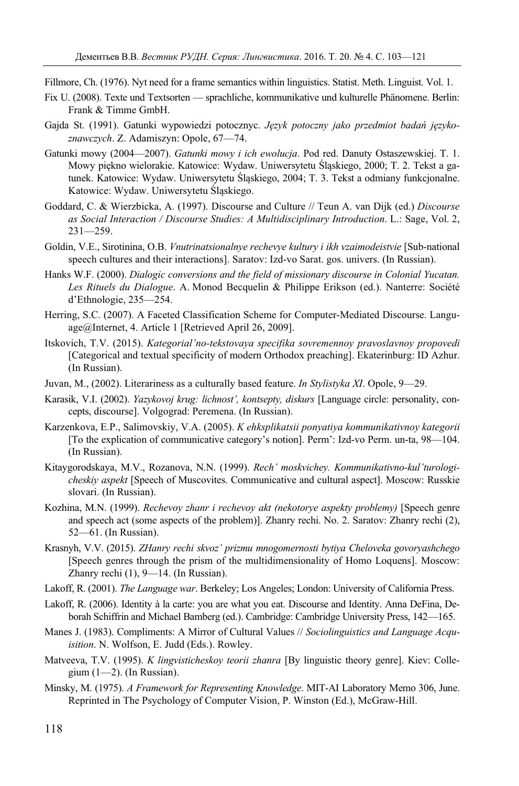Fillmore, Ch. (1976). Nyt need for a frame semantics within linguistics. Statist. Meth. Linguist. Vol. 1.

- Fix U. (2008). Texte und Textsorten sprachliche, kommunikative und kulturelle Phänomene. Berlin: Frank & Timme GmbH.
- Gajda St. (1991). Gatunki wypowiedzi potocznyc. *Język potoczny jako przedmiot badań językoznawczych*. Z. Adamiszyn: Opole, 67—74.
- Gatunki mowy (2004—2007). *Gatunki mowy i ich ewolucja*. Pod red. Danuty Ostaszewskiej. T. 1. Mowy piękno wielorakie. Katowice: Wydaw. Uniwersytetu Śląskiego, 2000; T. 2. Tekst a gatunek. Katowice: Wydaw. Uniwersytetu Śląskiego, 2004; T. 3. Tekst a odmiany funkcjonalne. Katowice: Wydaw. Uniwersytetu Śląskiego.
- Goddard, C. & Wierzbicka, A. (1997). Discourse and Culture // Teun A. van Dijk (ed.) *Discourse as Social Interaction / Discourse Studies: A Multidisciplinary Introduction*. L.: Sage, Vol. 2,  $231 - 259$ .
- Goldin, V.E., Sirotinina, O.B. *Vnutrinatsionalnye rechevye kultury i ikh vzaimodeistvie* [Sub-national speech cultures and their interactions]. Saratov: Izd-vo Sarat. gos. univers. (In Russian).
- Hanks W.F. (2000). *Dialogic conversions and the field of missionary discourse in Colonial Yucatan. Les Rituels du Dialogue*. A. Monod Becquelin & Philippe Erikson (ed.). Nanterre: Société d'Ethnologie, 235—254.
- Herring, S.C. (2007). A Faceted Classification Scheme for Computer-Mediated Discourse. Language@Internet, 4. Article 1 [Retrieved April 26, 2009].
- Itskovich, T.V. (2015). *Kategorial'no-tekstovaya specifika sovremennoy pravoslavnoy propovedi* [Categorical and textual specificity of modern Orthodox preaching]. Ekaterinburg: ID Azhur. (In Russian).
- Juvan, M., (2002). Literariness as a culturally based feature. *In Stylistyka ХI*. Opole, 9—29.
- Karasik, V.I. (2002). *Yazykovoj krug: lichnost', kontsepty, diskurs* [Language circle: personality, concepts, discourse]. Volgograd: Peremena. (In Russian).
- Karzenkova, E.P., Salimovskiy, V.A. (2005). *K ehksplikatsii ponyatiya kommunikativnoy kategorii*  [To the explication of communicative category's notion]. Perm': Izd-vo Perm. un-ta, 98—104. (In Russian).
- Kitaygorodskaya, M.V., Rozanova, N.N. (1999). *Rech' moskvichey. Kommunikativno-kul'turologicheskiy aspekt* [Speech of Muscovites. Communicative and cultural aspect]. Moscow: Russkie slovari. (In Russian).
- Kozhina, M.N. (1999). *Rechevoy zhanr i rechevoy akt (nekotorye aspekty problemy)* [Speech genre and speech act (some aspects of the problem)]. Zhanry rechi. No. 2. Saratov: Zhanry rechi (2), 52—61. (In Russian).
- Krasnyh, V.V. (2015). *ZHanry rechi skvoz' prizmu mnogomernosti bytiya Cheloveka govoryashchego* [Speech genres through the prism of the multidimensionality of Homo Loquens]. Moscow: Zhanry rechi (1), 9—14. (In Russian).
- Lakoff, R. (2001). *The Language war*. Berkeley; Los Angeles; London: University of California Press.
- Lakoff, R. (2006). Identity à la carte: you are what you eat. Discourse and Identity. Anna DeFina, Deborah Schiffrin and Michael Bamberg (ed.). Cambridge: Cambridge University Press, 142—165.
- Manes J. (1983). Compliments: A Mirror of Cultural Values // *Sociolinguistics and Language Acquisition*. N. Wolfson, E. Judd (Eds.). Rowley.
- Matveeva, T.V. (1995). *K lingvisticheskoy teorii zhanra* [By linguistic theory genre]. Kiev: Collegium  $(1-2)$ . (In Russian).
- Minsky, M. (1975). *A Framework for Representing Knowledge*. MIT-AI Laboratory Memo 306, June. Reprinted in The Psychology of Computer Vision, P. Winston (Ed.), McGraw-Hill.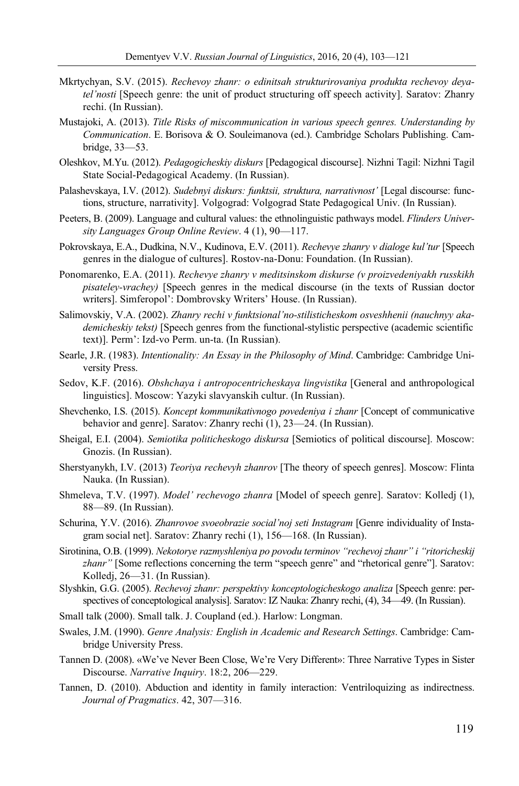- Mkrtychyan, S.V. (2015). *Rechevoy zhanr: o edinitsah strukturirovaniya produkta rechevoy deyatel'nosti* [Speech genre: the unit of product structuring off speech activity]. Saratov: Zhanry rechi. (In Russian).
- Mustajoki, A. (2013). *Title Risks of miscommunication in various speech genres. Understanding by Communication*. E. Borisova & O. Souleimanova (ed.). Cambridge Scholars Publishing. Cambridge, 33—53.
- Oleshkov, M.Yu. (2012). *Pedagogicheskiy diskurs* [Pedagogical discourse]. Nizhni Tagil: Nizhni Tagil State Social-Pedagogical Academy. (In Russian).
- Palashevskaya, I.V. (2012). *Sudebnyi diskurs: funktsii, struktura, narrativnost'* [Legal discourse: functions, structure, narrativity]. Volgograd: Volgograd State Pedagogical Univ. (In Russian).
- Peeters, B. (2009). Language and cultural values: the ethnolinguistic pathways model. *Flinders University Languages Group Online Review*. 4 (1), 90—117.
- Pokrovskaya, E.A., Dudkina, N.V., Kudinova, E.V. (2011). *Rechevye zhanry v dialoge kul'tur* [Speech genres in the dialogue of cultures]. Rostov-na-Donu: Foundation. (In Russian).
- Ponomarenko, E.A. (2011). *Rechevye zhanry v meditsinskom diskurse (v proizvedeniyakh russkikh pisateley-vrachey)* [Speech genres in the medical discourse (in the texts of Russian doctor writers]. Simferopol': Dombrovsky Writers' House. (In Russian).
- Salimovskiy, V.A. (2002). *Zhanry rechi v funktsional'no-stilisticheskom osveshhenii (nauchnyy akademicheskiy tekst)* [Speech genres from the functional-stylistic perspective (academic scientific text)]. Perm': Izd-vo Perm. un-ta. (In Russian).
- Searle, J.R. (1983). *Intentionality: An Essay in the Philosophy of Mind*. Cambridge: Cambridge University Press.
- Sedov, K.F. (2016). *Obshchaya i antropocentricheskaya lingvistika* [General and anthropological linguistics]. Moscow: Yazyki slavyanskih cultur. (In Russian).
- Shevchenko, I.S. (2015). *Koncept kommunikativnogo povedeniya i zhanr* [Concept of communicative behavior and genre]. Saratov: Zhanry rechi (1), 23—24. (In Russian).
- Sheigal, E.I. (2004). *Semiotika politicheskogo diskursa* [Semiotics of political discourse]. Moscow: Gnozis. (In Russian).
- Sherstyanykh, I.V. (2013) *Teoriya rechevyh zhanrov* [The theory of speech genres]. Moscow: Flinta Nauka. (In Russian).
- Shmeleva, T.V. (1997). *Model' rechevogo zhanra* [Model of speech genre]. Saratov: Kolledj (1), 88—89. (In Russian).
- Schurina, Y.V. (2016). *Zhanrovoe svoeobrazie social'noj seti Instagram* [Genre individuality of Instagram social net]. Saratov: Zhanry rechi (1), 156—168. (In Russian).
- Sirotinina, O.B. (1999). *Nekotorye razmyshleniya po povodu terminov "rechevoj zhanr" i "ritoricheskij*  zhanr" [Some reflections concerning the term "speech genre" and "rhetorical genre"]. Saratov: Kolledj, 26—31. (In Russian).
- Slyshkin, G.G. (2005). *Rechevoj zhanr: perspektivy konceptologicheskogo analiza* [Speech genre: perspectives of conceptological analysis]. Saratov: IZ Nauka: Zhanry rechi, (4), 34—49. (In Russian).
- Small talk (2000). Small talk. J. Coupland (ed.). Harlow: Longman.
- Swales, J.M. (1990). *Genre Analysis: English in Academic and Research Settings*. Cambridge: Cambridge University Press.
- Tannen D. (2008). «We've Never Been Close, We're Very Different»: Three Narrative Types in Sister Discourse. *Narrative Inquiry*. 18:2, 206—229.
- Tannen, D. (2010). Abduction and identity in family interaction: Ventriloquizing as indirectness. *Journal of Pragmatics*. 42, 307—316.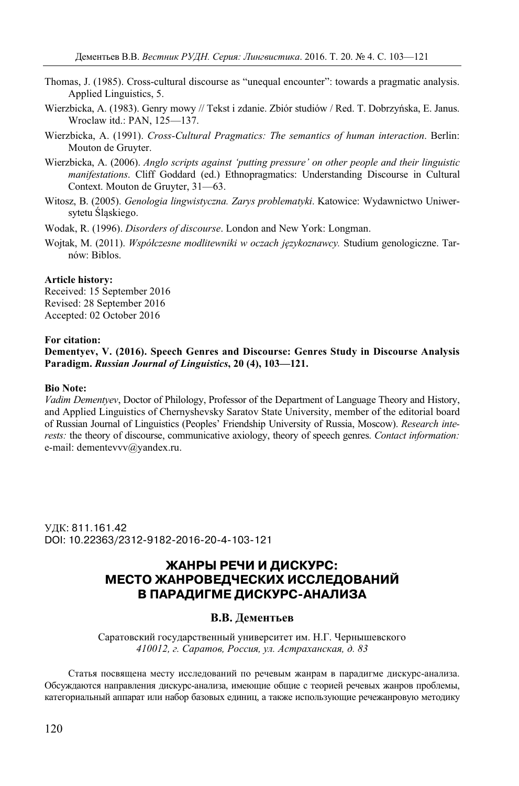- Thomas, J. (1985). Cross-cultural discourse as "unequal encounter": towards a pragmatic analysis. Applied Linguistics, 5.
- Wierzbicka, A. (1983). Genry mowy // Tekst i zdanie. Zbiór studiów / Red. T. Dobrzyńska, E. Janus. Wroclaw itd.: PAN, 125—137.
- Wierzbicka, A. (1991). *Cross-Cultural Pragmatics: The semantics of human interaction*. Berlin: Mouton de Gruyter.
- Wierzbicka, A. (2006). *Anglo scripts against 'putting pressure' on other people and their linguistic manifestations*. Cliff Goddard (ed.) Ethnopragmatics: Understanding Discourse in Cultural Context. Mouton de Gruyter, 31—63.
- Witosz, B. (2005). *Genologia lingwistyczna. Zarys problematyki*. Katowice: Wydawnictwo Uniwersytetu Śląskiego.
- Wodak, R. (1996). *Disorders of discourse*. London and New York: Longman.
- Wojtak, M. (2011). *Współczesne modlitewniki w oczach językoznawcy.* Studium genologiczne. Tarnów: Biblos.

#### **Article history:**

Received: 15 September 2016 Revised: 28 September 2016 Accepted: 02 October 2016

#### **For citation:**

**Dementyev, V. (2016). Speech Genres and Discourse: Genres Study in Discourse Analysis Paradigm.** *Russian Journal of Linguistics***, 20 (4), 103—121.** 

#### **Bio Note:**

*Vadim Dementyev*, Doctor of Philology, Professor of the Department of Language Theory and History, and Applied Linguistics of Chernyshevsky Saratov State University, member of the editorial board of Russian Journal of Linguistics (Peoples' Friendship University of Russia, Moscow). *Research interests:* the theory of discourse, communicative axiology, theory of speech genres. *Contact information:* e-mail: dementevvv@yandex.ru.

УДК: 811.161.42 DOI: 10.22363/2312-9182-2016-20-4-103-121

# **ЖАНРЫ РЕЧИ И ДИСКУРС: МЕСТО ЖАНРОВЕДЧЕСКИХ ИССЛЕДОВАНИЙ В ПАРАДИГМЕ ДИСКУРС-АНАЛИЗА**

## **В.В. Дементьев**

Саратовский государственный университет им. Н.Г. Чернышевского *410012, г. Саратов, Россия, ул. Астраханская, д. 83* 

Статья посвящена месту исследований по речевым жанрам в парадигме дискурс-анализа. Обсуждаются направления дискурс-анализа, имеющие общие с теорией речевых жанров проблемы, категориальный аппарат или набор базовых единиц, а также использующие речежанровую методику